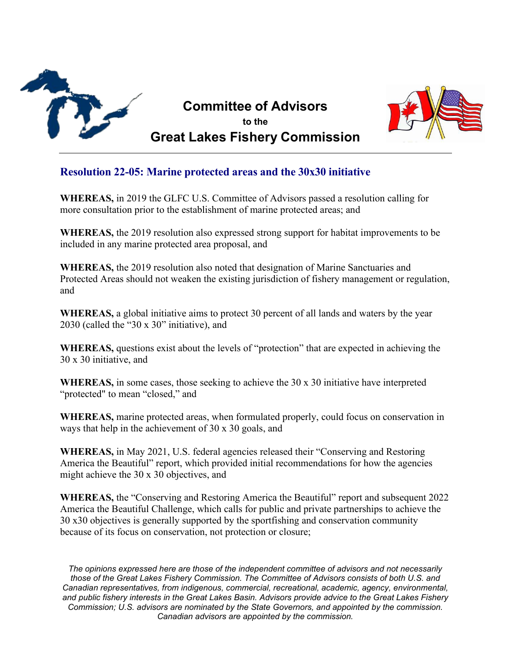

## **Committee of Advisors to the Great Lakes Fishery Commission**



## **Resolution 22-05: Marine protected areas and the 30x30 initiative**

**WHEREAS,** in 2019 the GLFC U.S. Committee of Advisors passed a resolution calling for more consultation prior to the establishment of marine protected areas; and

**WHEREAS,** the 2019 resolution also expressed strong support for habitat improvements to be included in any marine protected area proposal, and

**WHEREAS,** the 2019 resolution also noted that designation of Marine Sanctuaries and Protected Areas should not weaken the existing jurisdiction of fishery management or regulation, and

**WHEREAS,** a global initiative aims to protect 30 percent of all lands and waters by the year 2030 (called the "30 x 30" initiative), and

**WHEREAS,** questions exist about the levels of "protection" that are expected in achieving the 30 x 30 initiative, and

**WHEREAS,** in some cases, those seeking to achieve the 30 x 30 initiative have interpreted "protected" to mean "closed," and

**WHEREAS,** marine protected areas, when formulated properly, could focus on conservation in ways that help in the achievement of 30 x 30 goals, and

**WHEREAS,** in May 2021, U.S. federal agencies released their "Conserving and Restoring America the Beautiful" report, which provided initial recommendations for how the agencies might achieve the 30 x 30 objectives, and

**WHEREAS,** the "Conserving and Restoring America the Beautiful" report and subsequent 2022 America the Beautiful Challenge, which calls for public and private partnerships to achieve the 30 x30 objectives is generally supported by the sportfishing and conservation community because of its focus on conservation, not protection or closure;

*The opinions expressed here are those of the independent committee of advisors and not necessarily those of the Great Lakes Fishery Commission. The Committee of Advisors consists of both U.S. and Canadian representatives, from indigenous, commercial, recreational, academic, agency, environmental, and public fishery interests in the Great Lakes Basin. Advisors provide advice to the Great Lakes Fishery Commission; U.S. advisors are nominated by the State Governors, and appointed by the commission. Canadian advisors are appointed by the commission.*